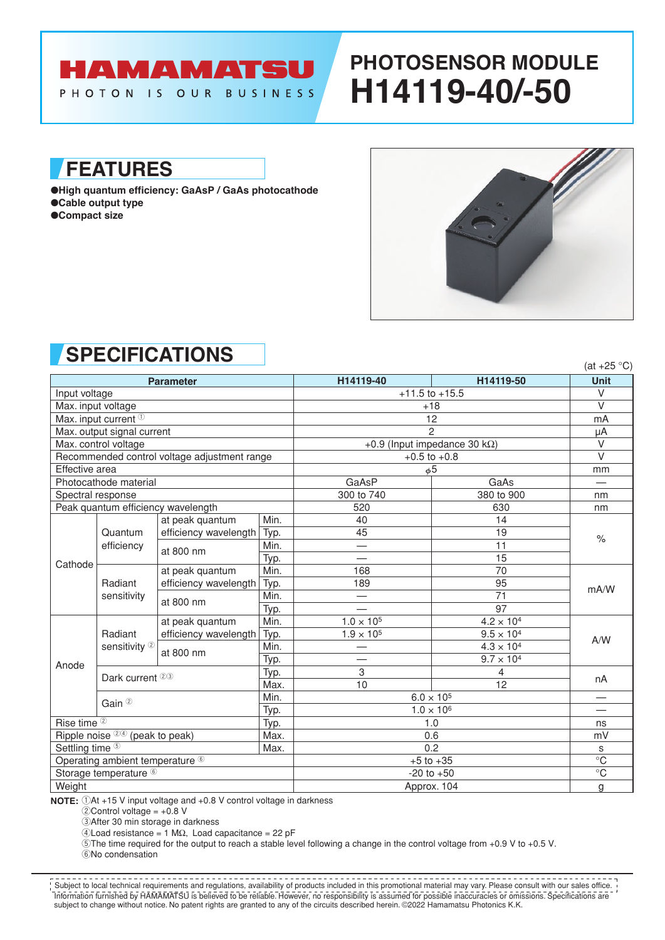# **HAMAMATSU**

#### PHOTON IS OUR BUSINESS

**FEATURES**

●**High quantum efficiency: GaAsP / GaAs photocathode** ●**Cable output type** ●**Compact size**



**PHOTOSENSOR MODULE**

**H14119-40/-50**

### **SPECIFICATIONS**

| <u>JI EVII IVAI IVITU</u><br>$(at +25 °C)$   |                                     |                       |      |                                       |                     |                |
|----------------------------------------------|-------------------------------------|-----------------------|------|---------------------------------------|---------------------|----------------|
| <b>Parameter</b>                             |                                     |                       |      | H14119-40                             | H14119-50           | <b>Unit</b>    |
| Input voltage                                |                                     |                       |      | $+11.5$ to $+15.5$                    |                     | $\vee$         |
| Max. input voltage                           |                                     |                       |      | $+18$                                 |                     | $\vee$         |
| Max. input current <sup>1</sup>              |                                     |                       |      | 12                                    |                     | mA             |
| Max. output signal current                   |                                     |                       |      | $\mathcal{P}$                         |                     | μA             |
| Max. control voltage                         |                                     |                       |      | +0.9 (Input impedance 30 k $\Omega$ ) |                     | $\vee$         |
| Recommended control voltage adjustment range |                                     |                       |      | $+0.5$ to $+0.8$                      |                     | $\vee$         |
| Effective area                               |                                     |                       |      | $\phi$ 5                              |                     | mm             |
|                                              | Photocathode material               |                       |      | GaAsP                                 | GaAs                |                |
|                                              | Spectral response                   |                       |      | 300 to 740                            | 380 to 900          | nm             |
| Peak quantum efficiency wavelength           |                                     |                       |      | 520                                   | 630                 | nm             |
| Cathode                                      | Quantum<br>efficiency               | at peak quantum       | Min. | 40                                    | 14                  | $\%$           |
|                                              |                                     | efficiency wavelength | Typ. | 45                                    | 19                  |                |
|                                              |                                     | at 800 nm             | Min. |                                       | 11                  |                |
|                                              |                                     |                       | Typ. |                                       | 15                  |                |
|                                              | Radiant<br>sensitivity              | at peak quantum       | Min. | 168                                   | 70                  | mA/W           |
|                                              |                                     | efficiency wavelength | Typ. | 189                                   | 95                  |                |
|                                              |                                     | at 800 nm             | Min. |                                       | 71                  |                |
|                                              |                                     |                       | Typ. |                                       | $\overline{97}$     |                |
| Anode                                        | Radiant<br>sensitivity <sup>2</sup> | at peak quantum       | Min. | $1.0 \times 10^{5}$                   | $4.2 \times 10^{4}$ | A/W            |
|                                              |                                     | efficiency wavelength | Typ. | $1.9 \times 10^{5}$                   | $9.5 \times 10^{4}$ |                |
|                                              |                                     | at 800 nm             | Min. |                                       | $4.3 \times 10^{4}$ |                |
|                                              |                                     |                       | Typ. |                                       | $9.7 \times 10^{4}$ |                |
|                                              | Dark current <sup>23</sup>          |                       | Typ. | 3                                     | 4                   | nA             |
|                                              |                                     |                       | Max. | 10                                    | 12                  |                |
|                                              | Gain <sup>2</sup>                   |                       | Min. | $6.0 \times 10^{5}$                   |                     |                |
|                                              |                                     |                       | Typ. | $1.0 \times 10^{6}$                   |                     |                |
| Rise time <sup>2</sup>                       |                                     |                       | Typ. | 1.0                                   |                     | ns             |
| Ripple noise 24 (peak to peak)               |                                     |                       | Max. | 0.6                                   |                     | mV             |
| Settling time <sup>5</sup>                   |                                     |                       | Max. | 0.2                                   |                     | s              |
| Operating ambient temperature 6              |                                     |                       |      | $+5$ to $+35$                         |                     | $\overline{C}$ |
| Storage temperature <sup>6</sup>             |                                     |                       |      | $-20$ to $+50$                        |                     | $\overline{C}$ |
| Weight                                       |                                     |                       |      | Approx. 104                           |                     | g              |

**NOTE:**  $\bigcirc$ At +15 V input voltage and +0.8 V control voltage in darkness

 $2$ Control voltage =  $+0.8$  V

3After 30 min storage in darkness

 $4$ Load resistance = 1 M $\Omega$ , Load capacitance = 22 pF

5The time required for the output to reach a stable level following a change in the control voltage from +0.9 V to +0.5 V.

6No condensation

Information furnished by HAMAMATSU is believed to be reliable. However, no responsibility is assumed for possible inaccuracies or omissions. Specifications are subject to change without notice. No patent rights are granted to any of the circuits described herein. ©2022 Hamamatsu Photonics K.K. Subject to local technical requirements and regulations, availability of products included in this promotional material may vary. Please consult with our sales office.